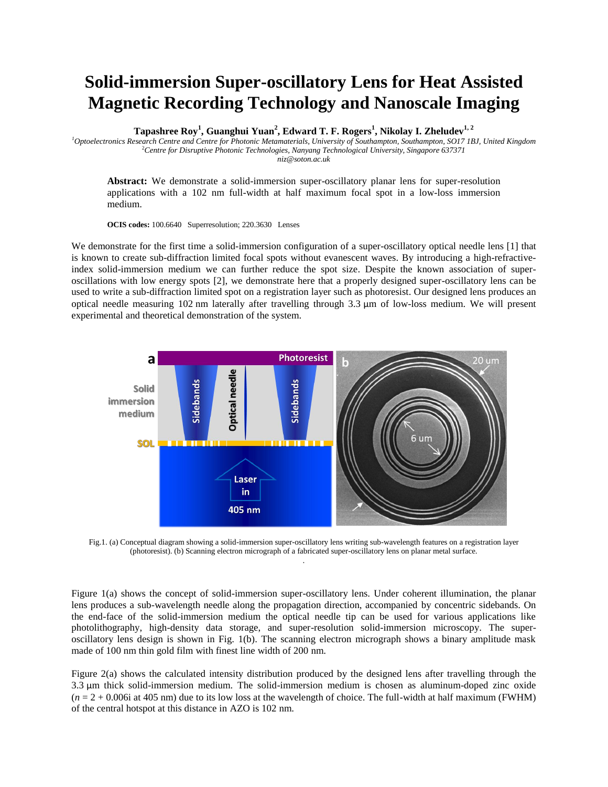## **Solid-immersion Super-oscillatory Lens for Heat Assisted Magnetic Recording Technology and Nanoscale Imaging**

**Tapashree Roy<sup>1</sup> , Guanghui Yuan<sup>2</sup> , Edward T. F. Rogers<sup>1</sup> , Nikolay I. Zheludev1, <sup>2</sup>**

*<sup>1</sup>Optoelectronics Research Centre and Centre for Photonic Metamaterials, University of Southampton, Southampton, SO17 1BJ, United Kingdom* <sup>2</sup>*Centre for Disruptive Photonic Technologies, Nanyang Technological University, Singapore 637371 niz@soton.ac.uk*

**Abstract:** We demonstrate a solid-immersion super-oscillatory planar lens for super-resolution applications with a 102 nm full-width at half maximum focal spot in a low-loss immersion medium.

**OCIS codes:** 100.6640 Superresolution; 220.3630 Lenses

We demonstrate for the first time a solid-immersion configuration of a super-oscillatory optical needle lens [1] that is known to create sub-diffraction limited focal spots without evanescent waves. By introducing a high-refractiveindex solid-immersion medium we can further reduce the spot size. Despite the known association of superoscillations with low energy spots [2], we demonstrate here that a properly designed super-oscillatory lens can be used to write a sub-diffraction limited spot on a registration layer such as photoresist. Our designed lens produces an optical needle measuring 102 nm laterally after travelling through 3.3 μm of low-loss medium. We will present experimental and theoretical demonstration of the system.



Fig.1. (a) Conceptual diagram showing a solid-immersion super-oscillatory lens writing sub-wavelength features on a registration layer (photoresist). (b) Scanning electron micrograph of a fabricated super-oscillatory lens on planar metal surface. .

Figure 1(a) shows the concept of solid-immersion super-oscillatory lens. Under coherent illumination, the planar lens produces a sub-wavelength needle along the propagation direction, accompanied by concentric sidebands. On the end-face of the solid-immersion medium the optical needle tip can be used for various applications like photolithography, high-density data storage, and super-resolution solid-immersion microscopy. The superoscillatory lens design is shown in Fig. 1(b). The scanning electron micrograph shows a binary amplitude mask made of 100 nm thin gold film with finest line width of 200 nm.

Figure 2(a) shows the calculated intensity distribution produced by the designed lens after travelling through the 3.3 μm thick solid-immersion medium. The solid-immersion medium is chosen as aluminum-doped zinc oxide  $(n = 2 + 0.006i$  at 405 nm) due to its low loss at the wavelength of choice. The full-width at half maximum (FWHM) of the central hotspot at this distance in AZO is 102 nm.